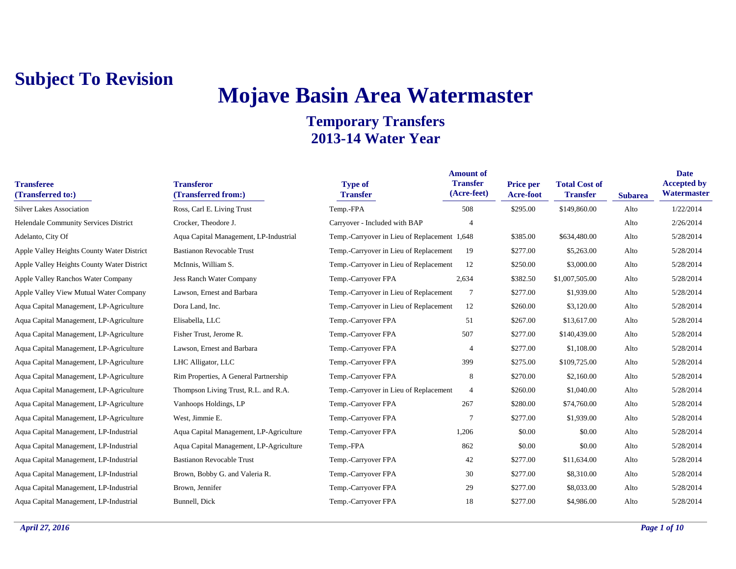## **Mojave Basin Area Watermaster**

| <b>Transferee</b><br>(Transferred to:)     | <b>Transferor</b><br>(Transferred from:) | <b>Type of</b><br><b>Transfer</b>            | <b>Amount of</b><br><b>Transfer</b><br>(Acre-feet) | Price per<br>Acre-foot | <b>Total Cost of</b><br><b>Transfer</b> | <b>Subarea</b> | <b>Date</b><br><b>Accepted by</b><br>Watermaster |
|--------------------------------------------|------------------------------------------|----------------------------------------------|----------------------------------------------------|------------------------|-----------------------------------------|----------------|--------------------------------------------------|
| <b>Silver Lakes Association</b>            | Ross, Carl E. Living Trust               | Temp.-FPA                                    | 508                                                | \$295.00               | \$149,860.00                            | Alto           | 1/22/2014                                        |
| Helendale Community Services District      | Crocker, Theodore J.                     | Carryover - Included with BAP                |                                                    |                        |                                         | Alto           | 2/26/2014                                        |
| Adelanto, City Of                          | Aqua Capital Management, LP-Industrial   | Temp.-Carryover in Lieu of Replacement 1,648 |                                                    | \$385.00               | \$634,480.00                            | Alto           | 5/28/2014                                        |
| Apple Valley Heights County Water District | <b>Bastianon Revocable Trust</b>         | Temp.-Carryover in Lieu of Replacement       | 19                                                 | \$277.00               | \$5,263.00                              | Alto           | 5/28/2014                                        |
| Apple Valley Heights County Water District | McInnis, William S.                      | Temp.-Carryover in Lieu of Replacement       | 12                                                 | \$250.00               | \$3,000.00                              | Alto           | 5/28/2014                                        |
| Apple Valley Ranchos Water Company         | <b>Jess Ranch Water Company</b>          | Temp.-Carryover FPA                          | 2,634                                              | \$382.50               | \$1,007,505.00                          | Alto           | 5/28/2014                                        |
| Apple Valley View Mutual Water Company     | Lawson, Ernest and Barbara               | Temp.-Carryover in Lieu of Replacement       | $7\phantom{.0}$                                    | \$277.00               | \$1,939.00                              | Alto           | 5/28/2014                                        |
| Aqua Capital Management, LP-Agriculture    | Dora Land, Inc.                          | Temp.-Carryover in Lieu of Replacement       | 12                                                 | \$260.00               | \$3,120.00                              | Alto           | 5/28/2014                                        |
| Aqua Capital Management, LP-Agriculture    | Elisabella, LLC                          | Temp.-Carryover FPA                          | 51                                                 | \$267.00               | \$13,617.00                             | Alto           | 5/28/2014                                        |
| Aqua Capital Management, LP-Agriculture    | Fisher Trust, Jerome R.                  | Temp.-Carryover FPA                          | 507                                                | \$277.00               | \$140,439.00                            | Alto           | 5/28/2014                                        |
| Aqua Capital Management, LP-Agriculture    | Lawson, Ernest and Barbara               | Temp.-Carryover FPA                          | $\overline{4}$                                     | \$277.00               | \$1,108.00                              | Alto           | 5/28/2014                                        |
| Aqua Capital Management, LP-Agriculture    | LHC Alligator, LLC                       | Temp.-Carryover FPA                          | 399                                                | \$275.00               | \$109,725.00                            | Alto           | 5/28/2014                                        |
| Aqua Capital Management, LP-Agriculture    | Rim Properties, A General Partnership    | Temp.-Carryover FPA                          | 8                                                  | \$270.00               | \$2,160.00                              | Alto           | 5/28/2014                                        |
| Aqua Capital Management, LP-Agriculture    | Thompson Living Trust, R.L. and R.A.     | Temp.-Carryover in Lieu of Replacement       | $\overline{4}$                                     | \$260.00               | \$1,040.00                              | Alto           | 5/28/2014                                        |
| Aqua Capital Management, LP-Agriculture    | Vanhoops Holdings, LP                    | Temp.-Carryover FPA                          | 267                                                | \$280.00               | \$74,760.00                             | Alto           | 5/28/2014                                        |
| Aqua Capital Management, LP-Agriculture    | West, Jimmie E.                          | Temp.-Carryover FPA                          | $\overline{7}$                                     | \$277.00               | \$1,939.00                              | Alto           | 5/28/2014                                        |
| Aqua Capital Management, LP-Industrial     | Aqua Capital Management, LP-Agriculture  | Temp.-Carryover FPA                          | 1,206                                              | \$0.00                 | \$0.00                                  | Alto           | 5/28/2014                                        |
| Aqua Capital Management, LP-Industrial     | Aqua Capital Management, LP-Agriculture  | Temp.-FPA                                    | 862                                                | \$0.00                 | \$0.00                                  | Alto           | 5/28/2014                                        |
| Aqua Capital Management, LP-Industrial     | <b>Bastianon Revocable Trust</b>         | Temp.-Carryover FPA                          | 42                                                 | \$277.00               | \$11,634.00                             | Alto           | 5/28/2014                                        |
| Aqua Capital Management, LP-Industrial     | Brown, Bobby G. and Valeria R.           | Temp.-Carryover FPA                          | 30                                                 | \$277.00               | \$8,310.00                              | Alto           | 5/28/2014                                        |
| Aqua Capital Management, LP-Industrial     | Brown, Jennifer                          | Temp.-Carryover FPA                          | 29                                                 | \$277.00               | \$8,033.00                              | Alto           | 5/28/2014                                        |
| Aqua Capital Management, LP-Industrial     | Bunnell, Dick                            | Temp.-Carryover FPA                          | 18                                                 | \$277.00               | \$4,986.00                              | Alto           | 5/28/2014                                        |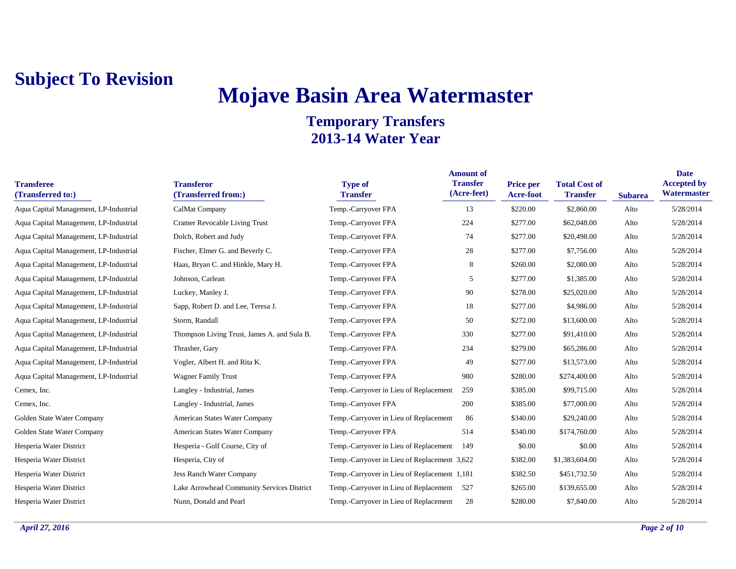## **Mojave Basin Area Watermaster**

| <b>Transferee</b><br>(Transferred to:) | <b>Transferor</b><br>(Transferred from:)    | <b>Type of</b><br><b>Transfer</b>            | <b>Amount of</b><br><b>Transfer</b><br>(Acre-feet) | <b>Price per</b><br>Acre-foot | <b>Total Cost of</b><br><b>Transfer</b> | <b>Subarea</b> | <b>Date</b><br><b>Accepted by</b><br>Watermaster |
|----------------------------------------|---------------------------------------------|----------------------------------------------|----------------------------------------------------|-------------------------------|-----------------------------------------|----------------|--------------------------------------------------|
| Aqua Capital Management, LP-Industrial | CalMat Company                              | Temp.-Carryover FPA                          | 13                                                 | \$220.00                      | \$2,860.00                              | Alto           | 5/28/2014                                        |
| Aqua Capital Management, LP-Industrial | Cramer Revocable Living Trust               | Temp.-Carryover FPA                          | 224                                                | \$277.00                      | \$62,048.00                             | Alto           | 5/28/2014                                        |
| Aqua Capital Management, LP-Industrial | Dolch, Robert and Judy                      | Temp.-Carryover FPA                          | 74                                                 | \$277.00                      | \$20,498.00                             | Alto           | 5/28/2014                                        |
| Aqua Capital Management, LP-Industrial | Fischer, Elmer G. and Beverly C.            | Temp.-Carryover FPA                          | 28                                                 | \$277.00                      | \$7,756.00                              | Alto           | 5/28/2014                                        |
| Aqua Capital Management, LP-Industrial | Haas, Bryan C. and Hinkle, Mary H.          | Temp.-Carryover FPA                          | 8                                                  | \$260.00                      | \$2,080.00                              | Alto           | 5/28/2014                                        |
| Aqua Capital Management, LP-Industrial | Johnson, Carlean                            | Temp.-Carryover FPA                          | 5                                                  | \$277.00                      | \$1,385.00                              | Alto           | 5/28/2014                                        |
| Aqua Capital Management, LP-Industrial | Luckey, Manley J.                           | Temp.-Carryover FPA                          | 90                                                 | \$278.00                      | \$25,020.00                             | Alto           | 5/28/2014                                        |
| Aqua Capital Management, LP-Industrial | Sapp, Robert D. and Lee, Teresa J.          | Temp.-Carryover FPA                          | 18                                                 | \$277.00                      | \$4,986.00                              | Alto           | 5/28/2014                                        |
| Aqua Capital Management, LP-Industrial | Storm, Randall                              | Temp.-Carryover FPA                          | 50                                                 | \$272.00                      | \$13,600.00                             | Alto           | 5/28/2014                                        |
| Aqua Capital Management, LP-Industrial | Thompson Living Trust, James A. and Sula B. | Temp.-Carryover FPA                          | 330                                                | \$277.00                      | \$91,410.00                             | Alto           | 5/28/2014                                        |
| Aqua Capital Management, LP-Industrial | Thrasher, Gary                              | Temp.-Carryover FPA                          | 234                                                | \$279.00                      | \$65,286.00                             | Alto           | 5/28/2014                                        |
| Aqua Capital Management, LP-Industrial | Vogler, Albert H. and Rita K.               | Temp.-Carryover FPA                          | 49                                                 | \$277.00                      | \$13,573.00                             | Alto           | 5/28/2014                                        |
| Aqua Capital Management, LP-Industrial | <b>Wagner Family Trust</b>                  | Temp.-Carryover FPA                          | 980                                                | \$280.00                      | \$274,400.00                            | Alto           | 5/28/2014                                        |
| Cemex, Inc.                            | Langley - Industrial, James                 | Temp.-Carryover in Lieu of Replacement       | 259                                                | \$385.00                      | \$99,715.00                             | Alto           | 5/28/2014                                        |
| Cemex, Inc.                            | Langley - Industrial, James                 | Temp.-Carryover FPA                          | 200                                                | \$385.00                      | \$77,000.00                             | Alto           | 5/28/2014                                        |
| Golden State Water Company             | American States Water Company               | Temp.-Carryover in Lieu of Replacement       | 86                                                 | \$340.00                      | \$29,240.00                             | Alto           | 5/28/2014                                        |
| Golden State Water Company             | American States Water Company               | Temp.-Carryover FPA                          | 514                                                | \$340.00                      | \$174,760.00                            | Alto           | 5/28/2014                                        |
| Hesperia Water District                | Hesperia - Golf Course, City of             | Temp.-Carryover in Lieu of Replacement       | 149                                                | \$0.00                        | \$0.00                                  | Alto           | 5/28/2014                                        |
| Hesperia Water District                | Hesperia, City of                           | Temp.-Carryover in Lieu of Replacement 3,622 |                                                    | \$382.00                      | \$1,383,604.00                          | Alto           | 5/28/2014                                        |
| Hesperia Water District                | <b>Jess Ranch Water Company</b>             | Temp.-Carryover in Lieu of Replacement 1,181 |                                                    | \$382.50                      | \$451,732.50                            | Alto           | 5/28/2014                                        |
| Hesperia Water District                | Lake Arrowhead Community Services District  | Temp.-Carryover in Lieu of Replacement       | 527                                                | \$265.00                      | \$139,655.00                            | Alto           | 5/28/2014                                        |
| Hesperia Water District                | Nunn. Donald and Pearl                      | Temp.-Carryover in Lieu of Replacement       | 28                                                 | \$280.00                      | \$7,840.00                              | Alto           | 5/28/2014                                        |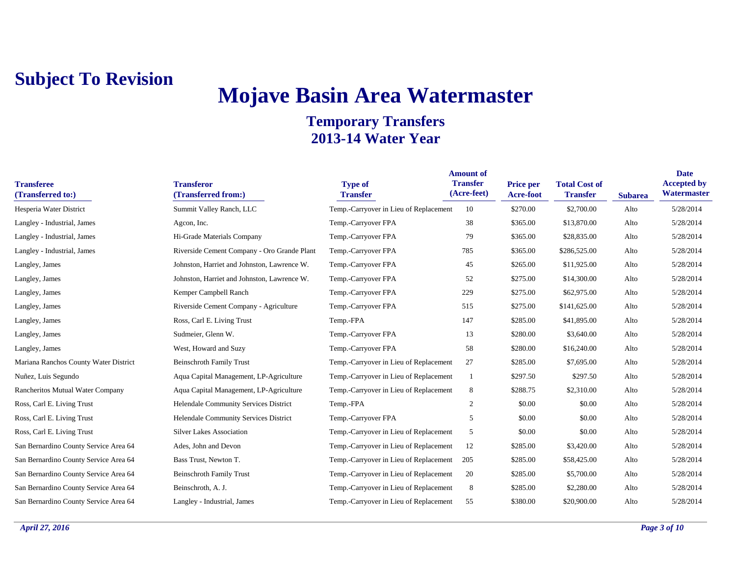# **Mojave Basin Area Watermaster**

| <b>Transferee</b><br>(Transferred to:) | <b>Transferor</b><br>(Transferred from:)    | <b>Type of</b><br><b>Transfer</b>      | <b>Amount of</b><br><b>Transfer</b><br>(Acre-feet) | <b>Price per</b><br><b>Acre-foot</b> | <b>Total Cost of</b><br><b>Transfer</b> | <b>Subarea</b> | <b>Date</b><br><b>Accepted by</b><br>Watermaster |
|----------------------------------------|---------------------------------------------|----------------------------------------|----------------------------------------------------|--------------------------------------|-----------------------------------------|----------------|--------------------------------------------------|
| Hesperia Water District                | Summit Valley Ranch, LLC                    | Temp.-Carryover in Lieu of Replacement | 10                                                 | \$270.00                             | \$2,700.00                              | Alto           | 5/28/2014                                        |
| Langley - Industrial, James            | Agcon, Inc.                                 | Temp.-Carryover FPA                    | 38                                                 | \$365.00                             | \$13,870.00                             | Alto           | 5/28/2014                                        |
| Langley - Industrial, James            | Hi-Grade Materials Company                  | Temp.-Carryover FPA                    | 79                                                 | \$365.00                             | \$28,835.00                             | Alto           | 5/28/2014                                        |
| Langley - Industrial, James            | Riverside Cement Company - Oro Grande Plant | Temp.-Carryover FPA                    | 785                                                | \$365.00                             | \$286,525.00                            | Alto           | 5/28/2014                                        |
| Langley, James                         | Johnston, Harriet and Johnston, Lawrence W. | Temp.-Carryover FPA                    | 45                                                 | \$265.00                             | \$11,925.00                             | Alto           | 5/28/2014                                        |
| Langley, James                         | Johnston, Harriet and Johnston, Lawrence W. | Temp.-Carryover FPA                    | 52                                                 | \$275.00                             | \$14,300.00                             | Alto           | 5/28/2014                                        |
| Langley, James                         | Kemper Campbell Ranch                       | Temp.-Carryover FPA                    | 229                                                | \$275.00                             | \$62,975.00                             | Alto           | 5/28/2014                                        |
| Langley, James                         | Riverside Cement Company - Agriculture      | Temp.-Carryover FPA                    | 515                                                | \$275.00                             | \$141,625.00                            | Alto           | 5/28/2014                                        |
| Langley, James                         | Ross, Carl E. Living Trust                  | Temp.-FPA                              | 147                                                | \$285.00                             | \$41,895.00                             | Alto           | 5/28/2014                                        |
| Langley, James                         | Sudmeier, Glenn W.                          | Temp.-Carryover FPA                    | 13                                                 | \$280.00                             | \$3,640.00                              | Alto           | 5/28/2014                                        |
| Langley, James                         | West, Howard and Suzy                       | Temp.-Carryover FPA                    | 58                                                 | \$280.00                             | \$16,240.00                             | Alto           | 5/28/2014                                        |
| Mariana Ranchos County Water District  | <b>Beinschroth Family Trust</b>             | Temp.-Carryover in Lieu of Replacement | 27                                                 | \$285.00                             | \$7,695.00                              | Alto           | 5/28/2014                                        |
| Nuñez, Luis Segundo                    | Aqua Capital Management, LP-Agriculture     | Temp.-Carryover in Lieu of Replacement |                                                    | \$297.50                             | \$297.50                                | Alto           | 5/28/2014                                        |
| Rancheritos Mutual Water Company       | Aqua Capital Management, LP-Agriculture     | Temp.-Carryover in Lieu of Replacement | 8                                                  | \$288.75                             | \$2,310.00                              | Alto           | 5/28/2014                                        |
| Ross, Carl E. Living Trust             | Helendale Community Services District       | Temp.-FPA                              | $\overline{2}$                                     | \$0.00                               | \$0.00                                  | Alto           | 5/28/2014                                        |
| Ross, Carl E. Living Trust             | Helendale Community Services District       | Temp.-Carryover FPA                    | 5                                                  | \$0.00                               | \$0.00                                  | Alto           | 5/28/2014                                        |
| Ross, Carl E. Living Trust             | <b>Silver Lakes Association</b>             | Temp.-Carryover in Lieu of Replacement | 5                                                  | \$0.00                               | \$0.00                                  | Alto           | 5/28/2014                                        |
| San Bernardino County Service Area 64  | Ades, John and Devon                        | Temp.-Carryover in Lieu of Replacement | 12                                                 | \$285.00                             | \$3,420.00                              | Alto           | 5/28/2014                                        |
| San Bernardino County Service Area 64  | Bass Trust, Newton T.                       | Temp.-Carryover in Lieu of Replacement | 205                                                | \$285.00                             | \$58,425.00                             | Alto           | 5/28/2014                                        |
| San Bernardino County Service Area 64  | <b>Beinschroth Family Trust</b>             | Temp.-Carryover in Lieu of Replacement | 20                                                 | \$285.00                             | \$5,700.00                              | Alto           | 5/28/2014                                        |
| San Bernardino County Service Area 64  | Beinschroth, A. J.                          | Temp.-Carryover in Lieu of Replacement | 8                                                  | \$285.00                             | \$2,280.00                              | Alto           | 5/28/2014                                        |
| San Bernardino County Service Area 64  | Langley - Industrial, James                 | Temp.-Carryover in Lieu of Replacement | 55                                                 | \$380.00                             | \$20,900.00                             | Alto           | 5/28/2014                                        |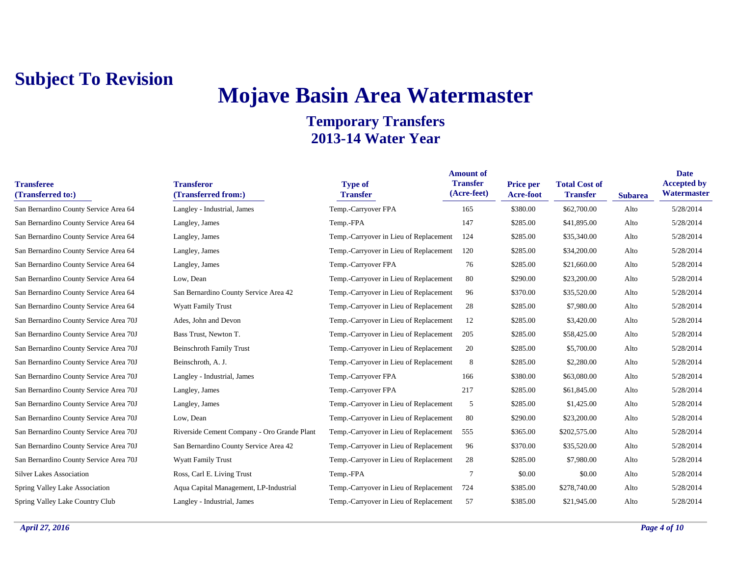## **Mojave Basin Area Watermaster**

| <b>Transferee</b><br>(Transferred to:) | <b>Transferor</b><br>(Transferred from:)    | <b>Type of</b><br><b>Transfer</b>      | <b>Amount of</b><br><b>Transfer</b><br>(Acre-feet) | Price per<br><b>Acre-foot</b> | <b>Total Cost of</b><br><b>Transfer</b> | <b>Subarea</b> | <b>Date</b><br><b>Accepted by</b><br><b>Watermaster</b> |
|----------------------------------------|---------------------------------------------|----------------------------------------|----------------------------------------------------|-------------------------------|-----------------------------------------|----------------|---------------------------------------------------------|
| San Bernardino County Service Area 64  | Langley - Industrial, James                 | Temp.-Carryover FPA                    | 165                                                | \$380.00                      | \$62,700.00                             | Alto           | 5/28/2014                                               |
| San Bernardino County Service Area 64  | Langley, James                              | Temp.-FPA                              | 147                                                | \$285.00                      | \$41,895.00                             | Alto           | 5/28/2014                                               |
| San Bernardino County Service Area 64  | Langley, James                              | Temp.-Carryover in Lieu of Replacement | 124                                                | \$285.00                      | \$35,340.00                             | Alto           | 5/28/2014                                               |
| San Bernardino County Service Area 64  | Langley, James                              | Temp.-Carryover in Lieu of Replacement | 120                                                | \$285.00                      | \$34,200.00                             | Alto           | 5/28/2014                                               |
| San Bernardino County Service Area 64  | Langley, James                              | Temp.-Carryover FPA                    | 76                                                 | \$285.00                      | \$21,660.00                             | Alto           | 5/28/2014                                               |
| San Bernardino County Service Area 64  | Low, Dean                                   | Temp.-Carryover in Lieu of Replacement | 80                                                 | \$290.00                      | \$23,200.00                             | Alto           | 5/28/2014                                               |
| San Bernardino County Service Area 64  | San Bernardino County Service Area 42       | Temp.-Carryover in Lieu of Replacement | 96                                                 | \$370.00                      | \$35,520.00                             | Alto           | 5/28/2014                                               |
| San Bernardino County Service Area 64  | <b>Wyatt Family Trust</b>                   | Temp.-Carryover in Lieu of Replacement | 28                                                 | \$285.00                      | \$7,980.00                              | Alto           | 5/28/2014                                               |
| San Bernardino County Service Area 70J | Ades, John and Devon                        | Temp.-Carryover in Lieu of Replacement | 12                                                 | \$285.00                      | \$3,420.00                              | Alto           | 5/28/2014                                               |
| San Bernardino County Service Area 70J | Bass Trust, Newton T.                       | Temp.-Carryover in Lieu of Replacement | 205                                                | \$285.00                      | \$58,425.00                             | Alto           | 5/28/2014                                               |
| San Bernardino County Service Area 70J | <b>Beinschroth Family Trust</b>             | Temp.-Carryover in Lieu of Replacement | 20                                                 | \$285.00                      | \$5,700.00                              | Alto           | 5/28/2014                                               |
| San Bernardino County Service Area 70J | Beinschroth, A. J.                          | Temp.-Carryover in Lieu of Replacement | 8                                                  | \$285.00                      | \$2,280.00                              | Alto           | 5/28/2014                                               |
| San Bernardino County Service Area 70J | Langley - Industrial, James                 | Temp.-Carryover FPA                    | 166                                                | \$380.00                      | \$63,080.00                             | Alto           | 5/28/2014                                               |
| San Bernardino County Service Area 70J | Langley, James                              | Temp.-Carryover FPA                    | 217                                                | \$285.00                      | \$61,845.00                             | Alto           | 5/28/2014                                               |
| San Bernardino County Service Area 70J | Langley, James                              | Temp.-Carryover in Lieu of Replacement | 5                                                  | \$285.00                      | \$1,425.00                              | Alto           | 5/28/2014                                               |
| San Bernardino County Service Area 70J | Low, Dean                                   | Temp.-Carryover in Lieu of Replacement | 80                                                 | \$290.00                      | \$23,200.00                             | Alto           | 5/28/2014                                               |
| San Bernardino County Service Area 70J | Riverside Cement Company - Oro Grande Plant | Temp.-Carryover in Lieu of Replacement | 555                                                | \$365.00                      | \$202,575.00                            | Alto           | 5/28/2014                                               |
| San Bernardino County Service Area 70J | San Bernardino County Service Area 42       | Temp.-Carryover in Lieu of Replacement | 96                                                 | \$370.00                      | \$35,520.00                             | Alto           | 5/28/2014                                               |
| San Bernardino County Service Area 70J | <b>Wyatt Family Trust</b>                   | Temp.-Carryover in Lieu of Replacement | 28                                                 | \$285.00                      | \$7,980.00                              | Alto           | 5/28/2014                                               |
| <b>Silver Lakes Association</b>        | Ross, Carl E. Living Trust                  | Temp.-FPA                              | 7                                                  | \$0.00                        | \$0.00                                  | Alto           | 5/28/2014                                               |
| Spring Valley Lake Association         | Aqua Capital Management, LP-Industrial      | Temp.-Carryover in Lieu of Replacement | 724                                                | \$385.00                      | \$278,740.00                            | Alto           | 5/28/2014                                               |
| Spring Valley Lake Country Club        | Langley - Industrial, James                 | Temp.-Carryover in Lieu of Replacement | 57                                                 | \$385.00                      | \$21,945.00                             | Alto           | 5/28/2014                                               |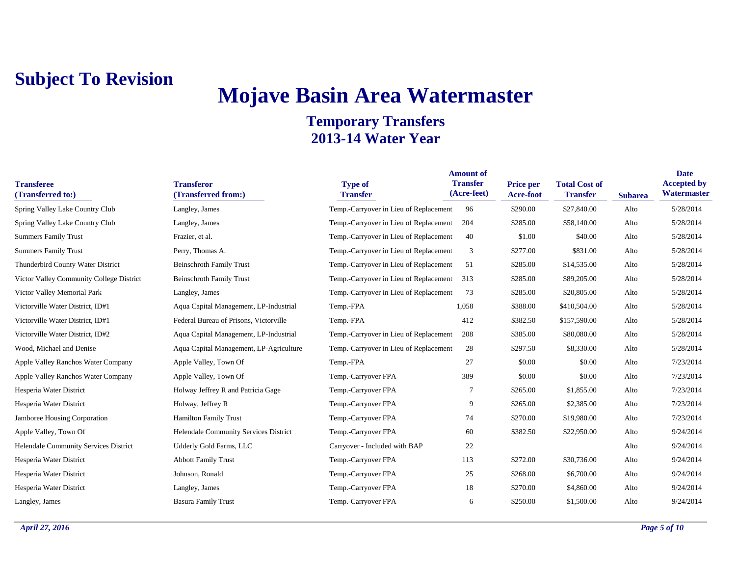## **Mojave Basin Area Watermaster**

| <b>Transferee</b><br>(Transferred to:)   | <b>Transferor</b><br>(Transferred from:) | <b>Type of</b><br><b>Transfer</b>      | <b>Amount of</b><br><b>Transfer</b><br>(Acre-feet) | <b>Price per</b><br><b>Acre-foot</b> | <b>Total Cost of</b><br><b>Transfer</b> | <b>Subarea</b> | <b>Date</b><br><b>Accepted by</b><br>Watermaster |
|------------------------------------------|------------------------------------------|----------------------------------------|----------------------------------------------------|--------------------------------------|-----------------------------------------|----------------|--------------------------------------------------|
| Spring Valley Lake Country Club          | Langley, James                           | Temp.-Carryover in Lieu of Replacement | 96                                                 | \$290.00                             | \$27,840.00                             | Alto           | 5/28/2014                                        |
| Spring Valley Lake Country Club          | Langley, James                           | Temp.-Carryover in Lieu of Replacement | 204                                                | \$285.00                             | \$58,140.00                             | Alto           | 5/28/2014                                        |
| <b>Summers Family Trust</b>              | Frazier, et al.                          | Temp.-Carryover in Lieu of Replacement | 40                                                 | \$1.00                               | \$40.00                                 | Alto           | 5/28/2014                                        |
| <b>Summers Family Trust</b>              | Perry, Thomas A.                         | Temp.-Carryover in Lieu of Replacement | 3                                                  | \$277.00                             | \$831.00                                | Alto           | 5/28/2014                                        |
| Thunderbird County Water District        | <b>Beinschroth Family Trust</b>          | Temp.-Carryover in Lieu of Replacement | 51                                                 | \$285.00                             | \$14,535.00                             | Alto           | 5/28/2014                                        |
| Victor Valley Community College District | <b>Beinschroth Family Trust</b>          | Temp.-Carryover in Lieu of Replacement | 313                                                | \$285.00                             | \$89,205.00                             | Alto           | 5/28/2014                                        |
| Victor Valley Memorial Park              | Langley, James                           | Temp.-Carryover in Lieu of Replacement | 73                                                 | \$285.00                             | \$20,805.00                             | Alto           | 5/28/2014                                        |
| Victorville Water District, ID#1         | Aqua Capital Management, LP-Industrial   | Temp.-FPA                              | 1,058                                              | \$388.00                             | \$410,504.00                            | Alto           | 5/28/2014                                        |
| Victorville Water District, ID#1         | Federal Bureau of Prisons, Victorville   | Temp.-FPA                              | 412                                                | \$382.50                             | \$157,590.00                            | Alto           | 5/28/2014                                        |
| Victorville Water District, ID#2         | Aqua Capital Management, LP-Industrial   | Temp.-Carryover in Lieu of Replacement | 208                                                | \$385.00                             | \$80,080.00                             | Alto           | 5/28/2014                                        |
| Wood, Michael and Denise                 | Aqua Capital Management, LP-Agriculture  | Temp.-Carryover in Lieu of Replacement | 28                                                 | \$297.50                             | \$8,330.00                              | Alto           | 5/28/2014                                        |
| Apple Valley Ranchos Water Company       | Apple Valley, Town Of                    | Temp.-FPA                              | 27                                                 | \$0.00                               | \$0.00                                  | Alto           | 7/23/2014                                        |
| Apple Valley Ranchos Water Company       | Apple Valley, Town Of                    | Temp.-Carryover FPA                    | 389                                                | \$0.00                               | \$0.00                                  | Alto           | 7/23/2014                                        |
| Hesperia Water District                  | Holway Jeffrey R and Patricia Gage       | Temp.-Carryover FPA                    | 7                                                  | \$265.00                             | \$1,855.00                              | Alto           | 7/23/2014                                        |
| Hesperia Water District                  | Holway, Jeffrey R                        | Temp.-Carryover FPA                    | 9                                                  | \$265.00                             | \$2,385.00                              | Alto           | 7/23/2014                                        |
| Jamboree Housing Corporation             | <b>Hamilton Family Trust</b>             | Temp.-Carryover FPA                    | 74                                                 | \$270.00                             | \$19,980.00                             | Alto           | 7/23/2014                                        |
| Apple Valley, Town Of                    | Helendale Community Services District    | Temp.-Carryover FPA                    | 60                                                 | \$382.50                             | \$22,950.00                             | Alto           | 9/24/2014                                        |
| Helendale Community Services District    | Udderly Gold Farms, LLC                  | Carryover - Included with BAP          | 22                                                 |                                      |                                         | Alto           | 9/24/2014                                        |
| Hesperia Water District                  | <b>Abbott Family Trust</b>               | Temp.-Carryover FPA                    | 113                                                | \$272.00                             | \$30,736.00                             | Alto           | 9/24/2014                                        |
| Hesperia Water District                  | Johnson, Ronald                          | Temp.-Carryover FPA                    | 25                                                 | \$268.00                             | \$6,700.00                              | Alto           | 9/24/2014                                        |
| Hesperia Water District                  | Langley, James                           | Temp.-Carryover FPA                    | 18                                                 | \$270.00                             | \$4,860.00                              | Alto           | 9/24/2014                                        |
| Langley, James                           | <b>Basura Family Trust</b>               | Temp.-Carryover FPA                    | 6                                                  | \$250.00                             | \$1,500.00                              | Alto           | 9/24/2014                                        |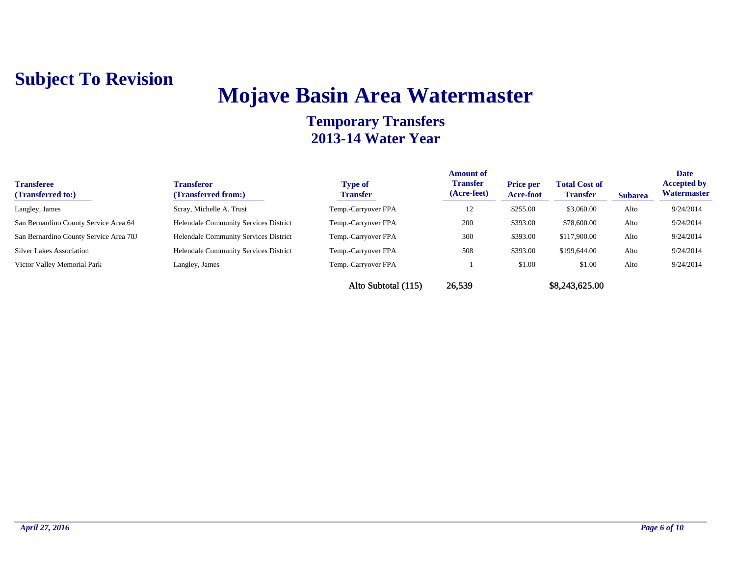## **Mojave Basin Area Watermaster**

| <b>Transferee</b><br>(Transferred to:) | <b>Transferor</b><br>(Transferred from:) | <b>Type of</b><br><b>Transfer</b> | <b>Amount of</b><br><b>Transfer</b><br>(Acre-feet) | <b>Price per</b><br><b>Acre-foot</b> | <b>Total Cost of</b><br><b>Transfer</b> | <b>Subarea</b> | <b>Date</b><br><b>Accepted by</b><br>Watermaster |
|----------------------------------------|------------------------------------------|-----------------------------------|----------------------------------------------------|--------------------------------------|-----------------------------------------|----------------|--------------------------------------------------|
| Langley, James                         | Scray, Michelle A. Trust                 | Temp.-Carryover FPA               | 12                                                 | \$255.00                             | \$3,060.00                              | Alto           | 9/24/2014                                        |
| San Bernardino County Service Area 64  | Helendale Community Services District    | Temp.-Carryover FPA               | 200                                                | \$393.00                             | \$78,600.00                             | Alto           | 9/24/2014                                        |
| San Bernardino County Service Area 70J | Helendale Community Services District    | Temp.-Carryover FPA               | 300                                                | \$393.00                             | \$117,900.00                            | Alto           | 9/24/2014                                        |
| <b>Silver Lakes Association</b>        | Helendale Community Services District    | Temp.-Carryover FPA               | 508                                                | \$393.00                             | \$199,644.00                            | Alto           | 9/24/2014                                        |
| Victor Valley Memorial Park            | Langley, James                           | Temp.-Carryover FPA               |                                                    | \$1.00                               | \$1.00                                  | Alto           | 9/24/2014                                        |
|                                        |                                          | Alto Subtotal (115)               | 26,539                                             |                                      | \$8,243,625.00                          |                |                                                  |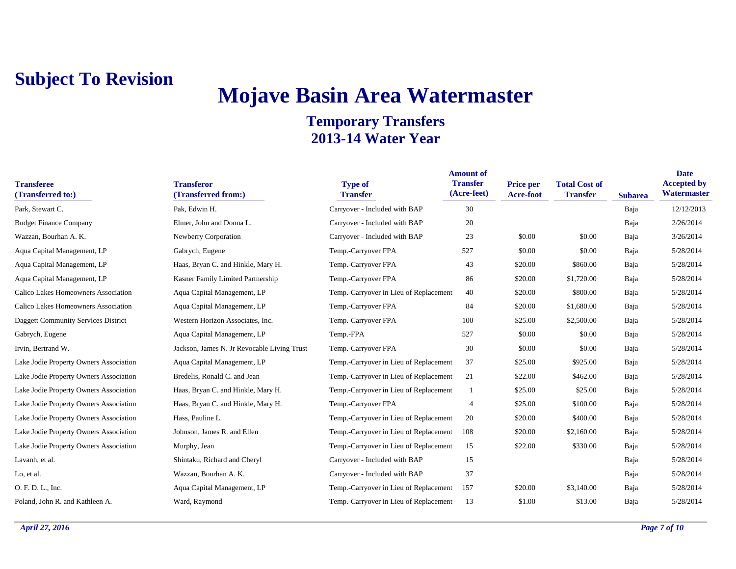## **Mojave Basin Area Watermaster**

| <b>Transferee</b><br>(Transferred to:) | <b>Transferor</b><br>(Transferred from:)    | <b>Type of</b><br><b>Transfer</b>      | <b>Amount of</b><br><b>Transfer</b><br>(Acre-feet) | <b>Price per</b><br>Acre-foot | <b>Total Cost of</b><br><b>Transfer</b> | <b>Subarea</b> | <b>Date</b><br><b>Accepted by</b><br>Watermaster |
|----------------------------------------|---------------------------------------------|----------------------------------------|----------------------------------------------------|-------------------------------|-----------------------------------------|----------------|--------------------------------------------------|
| Park, Stewart C.                       | Pak, Edwin H.                               | Carryover - Included with BAP          | 30                                                 |                               |                                         | Baja           | 12/12/2013                                       |
| <b>Budget Finance Company</b>          | Elmer, John and Donna L.                    | Carryover - Included with BAP          | 20                                                 |                               |                                         | Baja           | 2/26/2014                                        |
| Wazzan, Bourhan A. K.                  | Newberry Corporation                        | Carryover - Included with BAP          | 23                                                 | \$0.00                        | \$0.00                                  | Baja           | 3/26/2014                                        |
| Aqua Capital Management, LP            | Gabrych, Eugene                             | Temp.-Carryover FPA                    | 527                                                | \$0.00                        | \$0.00                                  | Baja           | 5/28/2014                                        |
| Aqua Capital Management, LP            | Haas, Bryan C. and Hinkle, Mary H.          | Temp.-Carryover FPA                    | 43                                                 | \$20.00                       | \$860.00                                | Baja           | 5/28/2014                                        |
| Aqua Capital Management, LP            | Kasner Family Limited Partnership           | Temp.-Carryover FPA                    | 86                                                 | \$20.00                       | \$1,720.00                              | Baja           | 5/28/2014                                        |
| Calico Lakes Homeowners Association    | Aqua Capital Management, LP                 | Temp.-Carryover in Lieu of Replacement | 40                                                 | \$20.00                       | \$800.00                                | Baja           | 5/28/2014                                        |
| Calico Lakes Homeowners Association    | Aqua Capital Management, LP                 | Temp.-Carryover FPA                    | 84                                                 | \$20.00                       | \$1,680.00                              | Baja           | 5/28/2014                                        |
| Daggett Community Services District    | Western Horizon Associates, Inc.            | Temp.-Carryover FPA                    | 100                                                | \$25.00                       | \$2,500.00                              | Baja           | 5/28/2014                                        |
| Gabrych, Eugene                        | Aqua Capital Management, LP                 | Temp.-FPA                              | 527                                                | \$0.00                        | \$0.00                                  | Baja           | 5/28/2014                                        |
| Irvin, Bertrand W.                     | Jackson, James N. Jr Revocable Living Trust | Temp.-Carryover FPA                    | 30                                                 | \$0.00                        | \$0.00                                  | Baja           | 5/28/2014                                        |
| Lake Jodie Property Owners Association | Aqua Capital Management, LP                 | Temp.-Carryover in Lieu of Replacement | 37                                                 | \$25.00                       | \$925.00                                | Baja           | 5/28/2014                                        |
| Lake Jodie Property Owners Association | Bredelis, Ronald C. and Jean                | Temp.-Carryover in Lieu of Replacement | 21                                                 | \$22.00                       | \$462.00                                | Baja           | 5/28/2014                                        |
| Lake Jodie Property Owners Association | Haas, Bryan C. and Hinkle, Mary H.          | Temp.-Carryover in Lieu of Replacement |                                                    | \$25.00                       | \$25.00                                 | Baja           | 5/28/2014                                        |
| Lake Jodie Property Owners Association | Haas, Bryan C. and Hinkle, Mary H.          | Temp.-Carryover FPA                    | $\overline{4}$                                     | \$25.00                       | \$100.00                                | Baja           | 5/28/2014                                        |
| Lake Jodie Property Owners Association | Hass, Pauline L.                            | Temp.-Carryover in Lieu of Replacement | 20                                                 | \$20.00                       | \$400.00                                | Baja           | 5/28/2014                                        |
| Lake Jodie Property Owners Association | Johnson, James R. and Ellen                 | Temp.-Carryover in Lieu of Replacement | 108                                                | \$20.00                       | \$2,160.00                              | Baja           | 5/28/2014                                        |
| Lake Jodie Property Owners Association | Murphy, Jean                                | Temp.-Carryover in Lieu of Replacement | 15                                                 | \$22.00                       | \$330.00                                | Baja           | 5/28/2014                                        |
| Lavanh, et al.                         | Shintaku, Richard and Cheryl                | Carryover - Included with BAP          | 15                                                 |                               |                                         | Baja           | 5/28/2014                                        |
| Lo, et al.                             | Wazzan, Bourhan A. K.                       | Carryover - Included with BAP          | 37                                                 |                               |                                         | Baja           | 5/28/2014                                        |
| O. F. D. L., Inc.                      | Aqua Capital Management, LP                 | Temp.-Carryover in Lieu of Replacement | 157                                                | \$20.00                       | \$3,140.00                              | Baja           | 5/28/2014                                        |
| Poland, John R. and Kathleen A.        | Ward, Raymond                               | Temp.-Carryover in Lieu of Replacement | 13                                                 | \$1.00                        | \$13.00                                 | Baja           | 5/28/2014                                        |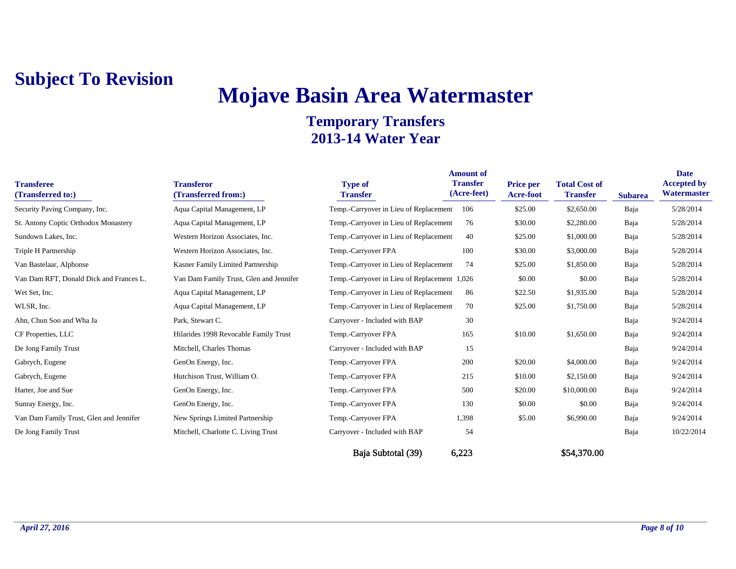# **Mojave Basin Area Watermaster**

| <b>Transferee</b><br>(Transferred to:)  | <b>Transferor</b><br>(Transferred from:) | <b>Type of</b><br><b>Transfer</b>            | <b>Amount of</b><br><b>Transfer</b><br>(Acre-feet) | <b>Price per</b><br>Acre-foot | <b>Total Cost of</b><br><b>Transfer</b> | <b>Subarea</b> | <b>Date</b><br><b>Accepted by</b><br>Watermaster |
|-----------------------------------------|------------------------------------------|----------------------------------------------|----------------------------------------------------|-------------------------------|-----------------------------------------|----------------|--------------------------------------------------|
| Security Paving Company, Inc.           | Aqua Capital Management, LP              | Temp.-Carryover in Lieu of Replacement 106   |                                                    | \$25.00                       | \$2,650.00                              | Baja           | 5/28/2014                                        |
| St. Antony Coptic Orthodox Monastery    | Aqua Capital Management, LP              | Temp.-Carryover in Lieu of Replacement       | 76                                                 | \$30.00                       | \$2,280.00                              | Baja           | 5/28/2014                                        |
| Sundown Lakes, Inc.                     | Western Horizon Associates, Inc.         | Temp.-Carryover in Lieu of Replacement       | 40                                                 | \$25.00                       | \$1,000.00                              | Baja           | 5/28/2014                                        |
| Triple H Partnership                    | Western Horizon Associates, Inc.         | Temp.-Carryover FPA                          | 100                                                | \$30.00                       | \$3,000.00                              | Baja           | 5/28/2014                                        |
| Van Bastelaar, Alphonse                 | Kasner Family Limited Partnership        | Temp.-Carryover in Lieu of Replacement       | 74                                                 | \$25.00                       | \$1,850.00                              | Baja           | 5/28/2014                                        |
| Van Dam RFT, Donald Dick and Frances L. | Van Dam Family Trust, Glen and Jennifer  | Temp.-Carryover in Lieu of Replacement 1,026 |                                                    | \$0.00                        | \$0.00                                  | Baja           | 5/28/2014                                        |
| Wet Set, Inc.                           | Aqua Capital Management, LP              | Temp.-Carryover in Lieu of Replacement       | 86                                                 | \$22.50                       | \$1,935.00                              | Baja           | 5/28/2014                                        |
| WLSR, Inc.                              | Aqua Capital Management, LP              | Temp.-Carryover in Lieu of Replacement       | 70                                                 | \$25.00                       | \$1,750.00                              | Baja           | 5/28/2014                                        |
| Ahn, Chun Soo and Wha Ja                | Park, Stewart C.                         | Carryover - Included with BAP                | 30                                                 |                               |                                         | Baja           | 9/24/2014                                        |
| CF Properties, LLC                      | Hilarides 1998 Revocable Family Trust    | Temp.-Carryover FPA                          | 165                                                | \$10.00                       | \$1,650.00                              | Baja           | 9/24/2014                                        |
| De Jong Family Trust                    | Mitchell, Charles Thomas                 | Carryover - Included with BAP                | 15                                                 |                               |                                         | Baja           | 9/24/2014                                        |
| Gabrych, Eugene                         | GenOn Energy, Inc.                       | Temp.-Carryover FPA                          | 200                                                | \$20.00                       | \$4,000.00                              | Baja           | 9/24/2014                                        |
| Gabrych, Eugene                         | Hutchison Trust, William O.              | Temp.-Carryover FPA                          | 215                                                | \$10.00                       | \$2,150.00                              | Baja           | 9/24/2014                                        |
| Harter, Joe and Sue                     | GenOn Energy, Inc.                       | Temp.-Carryover FPA                          | 500                                                | \$20.00                       | \$10,000.00                             | Baja           | 9/24/2014                                        |
| Sunray Energy, Inc.                     | GenOn Energy, Inc.                       | Temp.-Carryover FPA                          | 130                                                | \$0.00                        | \$0.00                                  | Baja           | 9/24/2014                                        |
| Van Dam Family Trust, Glen and Jennifer | New Springs Limited Partnership          | Temp.-Carryover FPA                          | 1,398                                              | \$5.00                        | \$6,990.00                              | Baja           | 9/24/2014                                        |
| De Jong Family Trust                    | Mitchell, Charlotte C. Living Trust      | Carryover - Included with BAP                | 54                                                 |                               |                                         | Baja           | 10/22/2014                                       |
|                                         |                                          | Baja Subtotal (39)                           | 6,223                                              |                               | \$54,370.00                             |                |                                                  |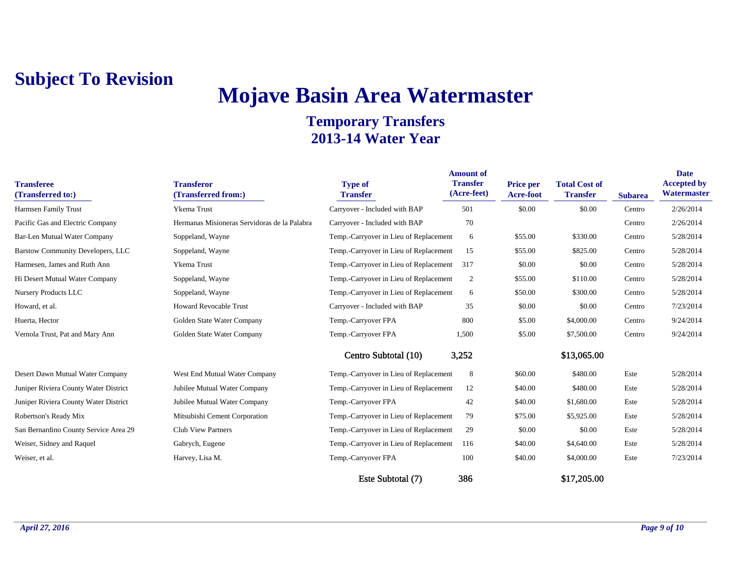# **Mojave Basin Area Watermaster**

| <b>Transferee</b><br>(Transferred to:) | <b>Transferor</b><br>(Transferred from:)     | <b>Type of</b><br><b>Transfer</b>      | <b>Amount of</b><br><b>Transfer</b><br>(Acre-feet) | <b>Price per</b><br><b>Acre-foot</b> | <b>Total Cost of</b><br><b>Transfer</b> | <b>Subarea</b> | <b>Date</b><br><b>Accepted by</b><br>Watermaster |
|----------------------------------------|----------------------------------------------|----------------------------------------|----------------------------------------------------|--------------------------------------|-----------------------------------------|----------------|--------------------------------------------------|
| Harmsen Family Trust                   | Ykema Trust                                  | Carryover - Included with BAP          | 501                                                | \$0.00                               | \$0.00                                  | Centro         | 2/26/2014                                        |
| Pacific Gas and Electric Company       | Hermanas Misioneras Servidoras de la Palabra | Carryover - Included with BAP          | 70                                                 |                                      |                                         | Centro         | 2/26/2014                                        |
| Bar-Len Mutual Water Company           | Soppeland, Wayne                             | Temp.-Carryover in Lieu of Replacement | 6                                                  | \$55.00                              | \$330.00                                | Centro         | 5/28/2014                                        |
| Barstow Community Developers, LLC      | Soppeland, Wayne                             | Temp.-Carryover in Lieu of Replacement | 15                                                 | \$55.00                              | \$825.00                                | Centro         | 5/28/2014                                        |
| Harmesen, James and Ruth Ann           | <b>Ykema</b> Trust                           | Temp.-Carryover in Lieu of Replacement | 317                                                | \$0.00                               | \$0.00                                  | Centro         | 5/28/2014                                        |
| Hi Desert Mutual Water Company         | Soppeland, Wayne                             | Temp.-Carryover in Lieu of Replacement | 2                                                  | \$55.00                              | \$110.00                                | Centro         | 5/28/2014                                        |
| <b>Nursery Products LLC</b>            | Soppeland, Wayne                             | Temp.-Carryover in Lieu of Replacement | 6                                                  | \$50.00                              | \$300.00                                | Centro         | 5/28/2014                                        |
| Howard, et al.                         | <b>Howard Revocable Trust</b>                | Carryover - Included with BAP          | 35                                                 | \$0.00                               | \$0.00                                  | Centro         | 7/23/2014                                        |
| Huerta, Hector                         | Golden State Water Company                   | Temp.-Carryover FPA                    | 800                                                | \$5.00                               | \$4,000.00                              | Centro         | 9/24/2014                                        |
| Vernola Trust, Pat and Mary Ann        | Golden State Water Company                   | Temp.-Carryover FPA                    | 1,500                                              | \$5.00                               | \$7,500.00                              | Centro         | 9/24/2014                                        |
|                                        |                                              | Centro Subtotal (10)                   | 3,252                                              |                                      | \$13,065.00                             |                |                                                  |
| Desert Dawn Mutual Water Company       | West End Mutual Water Company                | Temp.-Carryover in Lieu of Replacement | 8                                                  | \$60.00                              | \$480.00                                | Este           | 5/28/2014                                        |
| Juniper Riviera County Water District  | Jubilee Mutual Water Company                 | Temp.-Carryover in Lieu of Replacement | 12                                                 | \$40.00                              | \$480.00                                | Este           | 5/28/2014                                        |
| Juniper Riviera County Water District  | Jubilee Mutual Water Company                 | Temp.-Carryover FPA                    | 42                                                 | \$40.00                              | \$1,680.00                              | Este           | 5/28/2014                                        |
| Robertson's Ready Mix                  | Mitsubishi Cement Corporation                | Temp.-Carryover in Lieu of Replacement | 79                                                 | \$75.00                              | \$5,925.00                              | Este           | 5/28/2014                                        |
| San Bernardino County Service Area 29  | <b>Club View Partners</b>                    | Temp.-Carryover in Lieu of Replacement | 29                                                 | \$0.00                               | \$0.00                                  | Este           | 5/28/2014                                        |
| Weiser, Sidney and Raquel              | Gabrych, Eugene                              | Temp.-Carryover in Lieu of Replacement | 116                                                | \$40.00                              | \$4,640.00                              | Este           | 5/28/2014                                        |
| Weiser, et al.                         | Harvey, Lisa M.                              | Temp.-Carryover FPA                    | 100                                                | \$40.00                              | \$4,000.00                              | Este           | 7/23/2014                                        |
|                                        |                                              | Este Subtotal (7)                      | 386                                                |                                      | \$17,205.00                             |                |                                                  |